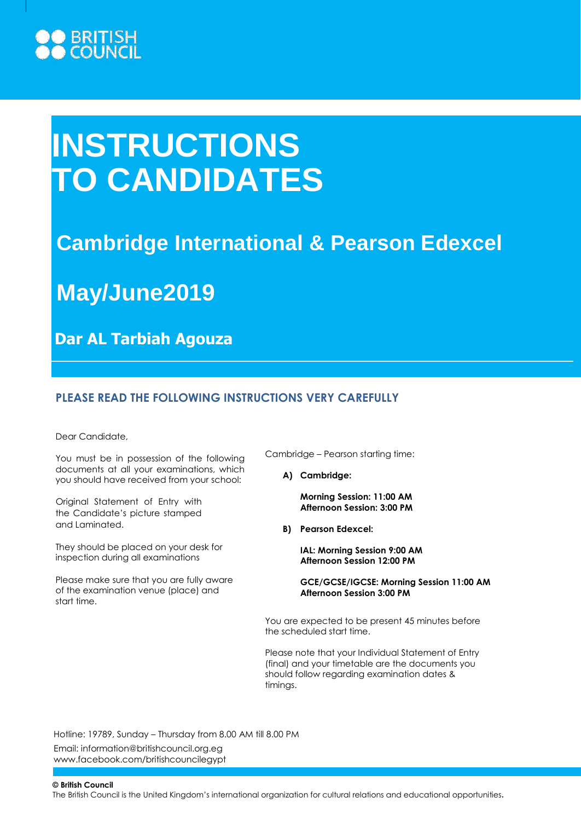# ) BRITISH<br>I COUNCIL

# **INSTRUCTIONS TO CANDIDATES**

# **Cambridge International & Pearson Edexcel**

**May/June2019**

**Dar AL Tarbiah Agouza**

## **PLEASE READ THE FOLLOWING INSTRUCTIONS VERY CAREFULLY**

Dear Candidate,

You must be in possession of the following documents at all your examinations, which you should have received from your school:

Original Statement of Entry with the Candidate's picture stamped and Laminated.

They should be placed on your desk for inspection during all examinations

Please make sure that you are fully aware of the examination venue (place) and start time.

Cambridge – Pearson starting time:

**A) Cambridge:**

**Morning Session: 11:00 AM Afternoon Session: 3:00 PM**

**B) Pearson Edexcel:**

**IAL: Morning Session 9:00 AM Afternoon Session 12:00 PM**

**GCE/GCSE/IGCSE: Morning Session 11:00 AM Afternoon Session 3:00 PM**

You are expected to be present 45 minutes before the scheduled start time.

Please note that your Individual Statement of Entry (final) and your timetable are the documents you should follow regarding examination dates & timings.

Hotline: 19789, Sunday – Thursday from 8.00 AM till 8.00 PM

Email: [information@britishcouncil.org.eg](mailto:information@britishcouncil.org.eg) [www.facebook.com/britishcouncilegypt](http://www.facebook.com/britishcouncilegypt)

**© British Council**

The British Council is the United Kingdom's international organization for cultural relations and educational opportunities.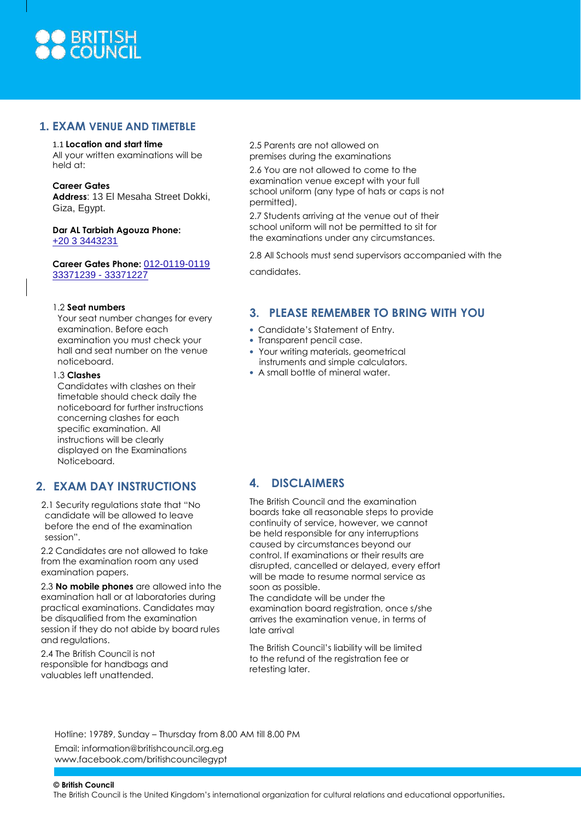

#### **1. EXAM VENUE AND TIMETBLE**

#### 1.1 **Location and start time**

All your written examinations will be held at:

**Career Gates**

**Address**: 13 El Mesaha Street Dokki, Giza, Egypt.

**Dar AL Tarbiah Agouza Phone:** [+20 3 3443231](https://www.google.com/search?newwindow=1&hl=en-IT&authuser=0&rlz=1C1GCEA_enEG751EG752&ei=G-W0XLmyApHPwAKs_LPQCQ&q=dar+el+tarbiah+agouza&oq=dar+al+tarbiah+agouza&gs_l=psy-ab.1.0.0i13j0i22i30.353875.359090..359770...0.0..0.1126.2307.2-1j1j0j1j0j1......0....1..gws-wiz.......0i71j0j0i10.mN9iwu5l_w8)

**Career Gates Phone:** 012-0119-0119 33371239 - 33371227

#### 1.2 **Seat numbers**

Your seat number changes for every examination. Before each examination you must check your hall and seat number on the venue noticeboard.

1.3 **Clashes**

Candidates with clashes on their timetable should check daily the noticeboard for further instructions concerning clashes for each specific examination. All instructions will be clearly displayed on the Examinations Noticeboard.

## **2. EXAM DAY INSTRUCTIONS**

2.1 Security regulations state that "No candidate will be allowed to leave before the end of the examination session".

2.2 Candidates are not allowed to take from the examination room any used examination papers.

2.3 **No mobile phones** are allowed into the examination hall or at laboratories during practical examinations. Candidates may be disqualified from the examination session if they do not abide by board rules and regulations.

2.4 The British Council is not responsible for handbags and valuables left unattended.

2.5 Parents are not allowed on premises during the examinations

2.6 You are not allowed to come to the examination venue except with your full school uniform (any type of hats or caps is not permitted).

2.7 Students arriving at the venue out of their school uniform will not be permitted to sit for the examinations under any circumstances.

2.8 All Schools must send supervisors accompanied with the

candidates.

## **3. PLEASE REMEMBER TO BRING WITH YOU**

- Candidate's Statement of Entry.
- Transparent pencil case.
- Your writing materials, geometrical instruments and simple calculators.
- A small bottle of mineral water.

# **4. DISCLAIMERS**

The British Council and the examination boards take all reasonable steps to provide continuity of service, however, we cannot be held responsible for any interruptions caused by circumstances beyond our control. If examinations or their results are disrupted, cancelled or delayed, every effort will be made to resume normal service as soon as possible.

The candidate will be under the examination board registration, once s/she arrives the examination venue, in terms of late arrival

The British Council's liability will be limited to the refund of the registration fee or retesting later.

Hotline: 19789, Sunday – Thursday from 8.00 AM till 8.00 PM

Email: [information@britishcouncil.org.eg](mailto:information@britishcouncil.org.eg) [www.facebook.com/britishcouncilegypt](http://www.facebook.com/britishcouncilegypt)

**© British Council**

The British Council is the United Kingdom's international organization for cultural relations and educational opportunities.